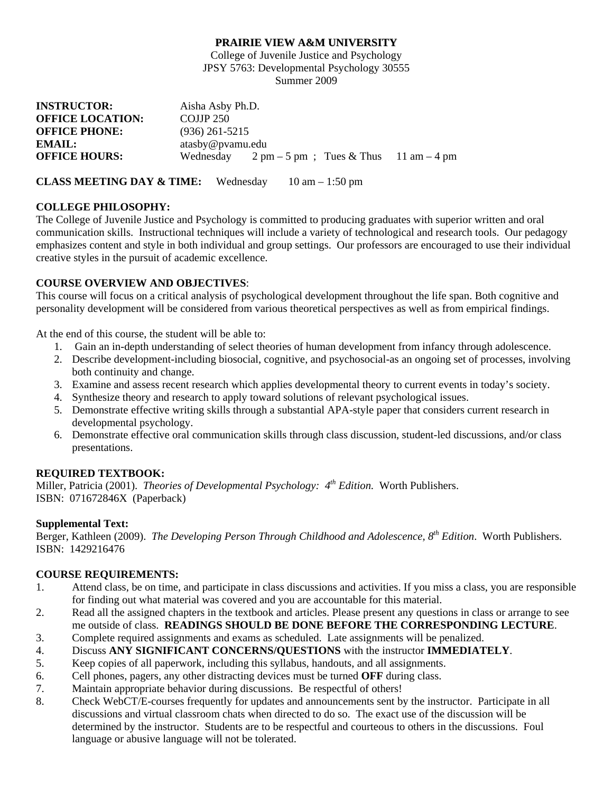#### **PRAIRIE VIEW A&M UNIVERSITY**

College of Juvenile Justice and Psychology JPSY 5763: Developmental Psychology 30555 Summer 2009

| <b>INSTRUCTOR:</b>      | Aisha Asby Ph.D. |                                                                                      |  |
|-------------------------|------------------|--------------------------------------------------------------------------------------|--|
| <b>OFFICE LOCATION:</b> | COJJP 250        |                                                                                      |  |
| <b>OFFICE PHONE:</b>    | $(936)$ 261-5215 |                                                                                      |  |
| EMAIL:                  | atasby@pvamu.edu |                                                                                      |  |
| <b>OFFICE HOURS:</b>    |                  | Wednesday $2 \text{ pm} - 5 \text{ pm}$ ; Tues & Thus $11 \text{ am} - 4 \text{ pm}$ |  |

**CLASS MEETING DAY & TIME:** Wednesday 10 am – 1:50 pm

#### **COLLEGE PHILOSOPHY:**

The College of Juvenile Justice and Psychology is committed to producing graduates with superior written and oral communication skills. Instructional techniques will include a variety of technological and research tools. Our pedagogy emphasizes content and style in both individual and group settings. Our professors are encouraged to use their individual creative styles in the pursuit of academic excellence.

# **COURSE OVERVIEW AND OBJECTIVES**:

This course will focus on a critical analysis of psychological development throughout the life span. Both cognitive and personality development will be considered from various theoretical perspectives as well as from empirical findings.

At the end of this course, the student will be able to:

- 1. Gain an in-depth understanding of select theories of human development from infancy through adolescence.
- 2. Describe development-including biosocial, cognitive, and psychosocial-as an ongoing set of processes, involving both continuity and change.
- 3. Examine and assess recent research which applies developmental theory to current events in today's society.
- 4. Synthesize theory and research to apply toward solutions of relevant psychological issues.
- 5. Demonstrate effective writing skills through a substantial APA-style paper that considers current research in developmental psychology.
- 6. Demonstrate effective oral communication skills through class discussion, student-led discussions, and/or class presentations.

# **REQUIRED TEXTBOOK:**

Miller, Patricia (2001). *Theories of Developmental Psychology:* 4<sup>th</sup> Edition. Worth Publishers. ISBN: 071672846X (Paperback)

# **Supplemental Text:**

Berger, Kathleen (2009). *The Developing Person Through Childhood and Adolescence, 8th Edition*. Worth Publishers. ISBN: 1429216476

# **COURSE REQUIREMENTS:**

- 1. Attend class, be on time, and participate in class discussions and activities. If you miss a class, you are responsible for finding out what material was covered and you are accountable for this material.
- 2. Read all the assigned chapters in the textbook and articles. Please present any questions in class or arrange to see me outside of class. **READINGS SHOULD BE DONE BEFORE THE CORRESPONDING LECTURE**.
- 3. Complete required assignments and exams as scheduled. Late assignments will be penalized.
- 4. Discuss **ANY SIGNIFICANT CONCERNS/QUESTIONS** with the instructor **IMMEDIATELY**.
- 5. Keep copies of all paperwork, including this syllabus, handouts, and all assignments.
- 6. Cell phones, pagers, any other distracting devices must be turned **OFF** during class.
- 7. Maintain appropriate behavior during discussions. Be respectful of others!
- 8. Check WebCT/E-courses frequently for updates and announcements sent by the instructor. Participate in all discussions and virtual classroom chats when directed to do so. The exact use of the discussion will be determined by the instructor. Students are to be respectful and courteous to others in the discussions. Foul language or abusive language will not be tolerated.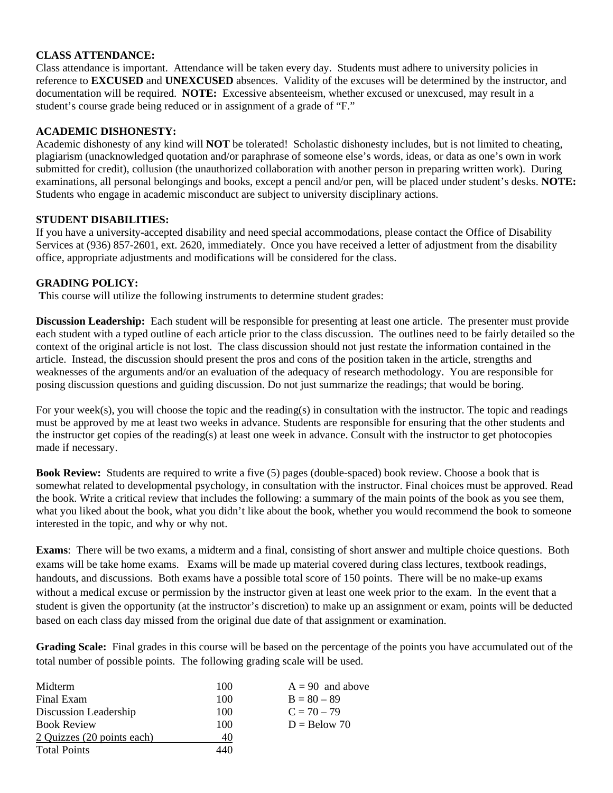### **CLASS ATTENDANCE:**

Class attendance is important. Attendance will be taken every day. Students must adhere to university policies in reference to **EXCUSED** and **UNEXCUSED** absences. Validity of the excuses will be determined by the instructor, and documentation will be required. **NOTE:** Excessive absenteeism, whether excused or unexcused, may result in a student's course grade being reduced or in assignment of a grade of "F."

#### **ACADEMIC DISHONESTY:**

Academic dishonesty of any kind will **NOT** be tolerated! Scholastic dishonesty includes, but is not limited to cheating, plagiarism (unacknowledged quotation and/or paraphrase of someone else's words, ideas, or data as one's own in work submitted for credit), collusion (the unauthorized collaboration with another person in preparing written work). During examinations, all personal belongings and books, except a pencil and/or pen, will be placed under student's desks. **NOTE:** Students who engage in academic misconduct are subject to university disciplinary actions.

#### **STUDENT DISABILITIES:**

If you have a university-accepted disability and need special accommodations, please contact the Office of Disability Services at (936) 857-2601, ext. 2620, immediately. Once you have received a letter of adjustment from the disability office, appropriate adjustments and modifications will be considered for the class.

#### **GRADING POLICY:**

 **T**his course will utilize the following instruments to determine student grades:

**Discussion Leadership:** Each student will be responsible for presenting at least one article. The presenter must provide each student with a typed outline of each article prior to the class discussion. The outlines need to be fairly detailed so the context of the original article is not lost. The class discussion should not just restate the information contained in the article. Instead, the discussion should present the pros and cons of the position taken in the article, strengths and weaknesses of the arguments and/or an evaluation of the adequacy of research methodology. You are responsible for posing discussion questions and guiding discussion. Do not just summarize the readings; that would be boring.

For your week(s), you will choose the topic and the reading(s) in consultation with the instructor. The topic and readings must be approved by me at least two weeks in advance. Students are responsible for ensuring that the other students and the instructor get copies of the reading(s) at least one week in advance. Consult with the instructor to get photocopies made if necessary.

**Book Review:** Students are required to write a five (5) pages (double-spaced) book review. Choose a book that is somewhat related to developmental psychology, in consultation with the instructor. Final choices must be approved. Read the book. Write a critical review that includes the following: a summary of the main points of the book as you see them, what you liked about the book, what you didn't like about the book, whether you would recommend the book to someone interested in the topic, and why or why not.

**Exams**: There will be two exams, a midterm and a final, consisting of short answer and multiple choice questions. Both exams will be take home exams. Exams will be made up material covered during class lectures, textbook readings, handouts, and discussions. Both exams have a possible total score of 150 points. There will be no make-up exams without a medical excuse or permission by the instructor given at least one week prior to the exam. In the event that a student is given the opportunity (at the instructor's discretion) to make up an assignment or exam, points will be deducted based on each class day missed from the original due date of that assignment or examination.

**Grading Scale:** Final grades in this course will be based on the percentage of the points you have accumulated out of the total number of possible points. The following grading scale will be used.

| Midterm                    | 100 | $A = 90$ and above |
|----------------------------|-----|--------------------|
| Final Exam                 | 100 | $B = 80 - 89$      |
| Discussion Leadership      | 100 | $C = 70 - 79$      |
| <b>Book Review</b>         | 100 | $D =$ Below 70     |
| 2 Quizzes (20 points each) | 40  |                    |
| <b>Total Points</b>        | 440 |                    |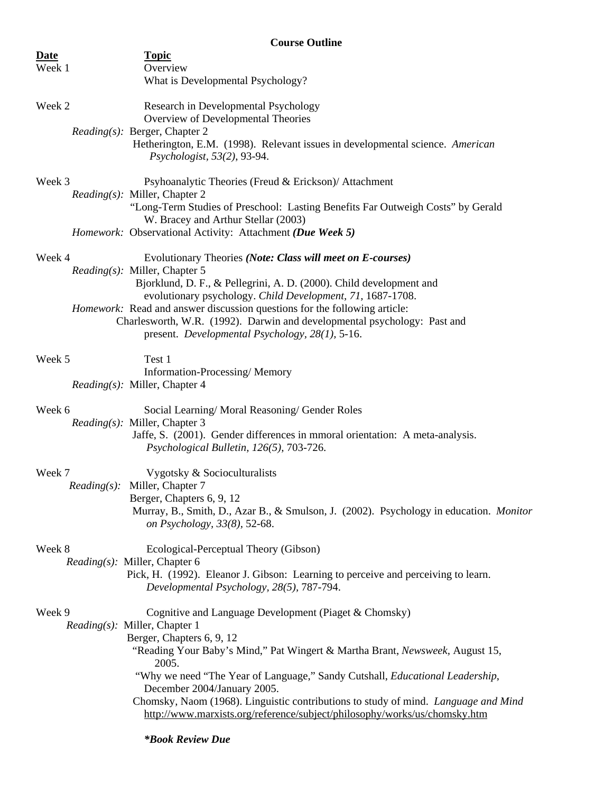| <b>Course Outline</b> |                                                                                                                                                       |  |  |
|-----------------------|-------------------------------------------------------------------------------------------------------------------------------------------------------|--|--|
| <b>Date</b>           | <b>Topic</b>                                                                                                                                          |  |  |
| Week 1                | Overview<br>What is Developmental Psychology?                                                                                                         |  |  |
|                       |                                                                                                                                                       |  |  |
| Week 2                | Research in Developmental Psychology                                                                                                                  |  |  |
|                       | Overview of Developmental Theories                                                                                                                    |  |  |
|                       | <i>Reading(s):</i> Berger, Chapter 2<br>Hetherington, E.M. (1998). Relevant issues in developmental science. American                                 |  |  |
|                       | Psychologist, 53(2), 93-94.                                                                                                                           |  |  |
|                       |                                                                                                                                                       |  |  |
| Week 3                | Psyhoanalytic Theories (Freud & Erickson)/ Attachment                                                                                                 |  |  |
|                       | <i>Reading(s):</i> Miller, Chapter 2<br>"Long-Term Studies of Preschool: Lasting Benefits Far Outweigh Costs" by Gerald                               |  |  |
|                       | W. Bracey and Arthur Stellar (2003)                                                                                                                   |  |  |
|                       | Homework: Observational Activity: Attachment (Due Week 5)                                                                                             |  |  |
| Week 4                | Evolutionary Theories (Note: Class will meet on E-courses)                                                                                            |  |  |
|                       | <i>Reading(s):</i> Miller, Chapter 5                                                                                                                  |  |  |
|                       | Bjorklund, D. F., & Pellegrini, A. D. (2000). Child development and                                                                                   |  |  |
|                       | evolutionary psychology. Child Development, 71, 1687-1708.                                                                                            |  |  |
|                       | Homework: Read and answer discussion questions for the following article:<br>Charlesworth, W.R. (1992). Darwin and developmental psychology: Past and |  |  |
|                       | present. Developmental Psychology, 28(1), 5-16.                                                                                                       |  |  |
|                       |                                                                                                                                                       |  |  |
| Week 5                | Test 1<br>Information-Processing/Memory                                                                                                               |  |  |
|                       | <i>Reading(s):</i> Miller, Chapter 4                                                                                                                  |  |  |
|                       |                                                                                                                                                       |  |  |
| Week 6                | Social Learning/Moral Reasoning/Gender Roles<br><i>Reading(s):</i> Miller, Chapter 3                                                                  |  |  |
|                       | Jaffe, S. (2001). Gender differences in mmoral orientation: A meta-analysis.                                                                          |  |  |
|                       | Psychological Bulletin, 126(5), 703-726.                                                                                                              |  |  |
|                       |                                                                                                                                                       |  |  |
| Week 7                | Vygotsky & Socioculturalists<br><i>Reading(s):</i> Miller, Chapter 7                                                                                  |  |  |
|                       | Berger, Chapters 6, 9, 12                                                                                                                             |  |  |
|                       | Murray, B., Smith, D., Azar B., & Smulson, J. (2002). Psychology in education. Monitor                                                                |  |  |
|                       | on Psychology, 33(8), 52-68.                                                                                                                          |  |  |
| Week 8                | Ecological-Perceptual Theory (Gibson)                                                                                                                 |  |  |
|                       | Reading(s): Miller, Chapter 6                                                                                                                         |  |  |
|                       | Pick, H. (1992). Eleanor J. Gibson: Learning to perceive and perceiving to learn.<br>Developmental Psychology, 28(5), 787-794.                        |  |  |
|                       |                                                                                                                                                       |  |  |
| Week 9                | Cognitive and Language Development (Piaget & Chomsky)                                                                                                 |  |  |
|                       | <i>Reading(s)</i> : Miller, Chapter 1<br>Berger, Chapters 6, 9, 12                                                                                    |  |  |
|                       | "Reading Your Baby's Mind," Pat Wingert & Martha Brant, Newsweek, August 15,                                                                          |  |  |
|                       | 2005.                                                                                                                                                 |  |  |
|                       | "Why we need "The Year of Language," Sandy Cutshall, Educational Leadership,                                                                          |  |  |
|                       | December 2004/January 2005.<br>Chomsky, Naom (1968). Linguistic contributions to study of mind. Language and Mind                                     |  |  |
|                       | http://www.marxists.org/reference/subject/philosophy/works/us/chomsky.htm                                                                             |  |  |
|                       |                                                                                                                                                       |  |  |